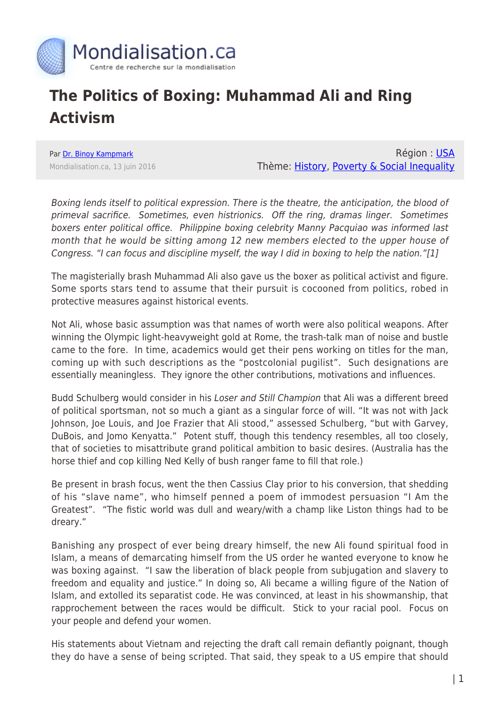

## **The Politics of Boxing: Muhammad Ali and Ring Activism**

Par [Dr. Binoy Kampmark](https://www.mondialisation.ca/author/binoy-kampmark) Mondialisation.ca, 13 juin 2016

Région : [USA](https://www.mondialisation.ca/region/usa) Thème: [History](https://www.mondialisation.ca/theme/culture-society-history), [Poverty & Social Inequality](https://www.mondialisation.ca/theme/poverty-social-inequality)

Boxing lends itself to political expression. There is the theatre, the anticipation, the blood of primeval sacrifice. Sometimes, even histrionics. Off the ring, dramas linger. Sometimes boxers enter political office. Philippine boxing celebrity Manny Pacquiao was informed last month that he would be sitting among 12 new members elected to the upper house of Congress. "I can focus and discipline myself, the way I did in boxing to help the nation."[1]

The magisterially brash Muhammad Ali also gave us the boxer as political activist and figure. Some sports stars tend to assume that their pursuit is cocooned from politics, robed in protective measures against historical events.

Not Ali, whose basic assumption was that names of worth were also political weapons. After winning the Olympic light-heavyweight gold at Rome, the trash-talk man of noise and bustle came to the fore. In time, academics would get their pens working on titles for the man, coming up with such descriptions as the "postcolonial pugilist". Such designations are essentially meaningless. They ignore the other contributions, motivations and influences.

Budd Schulberg would consider in his Loser and Still Champion that Ali was a different breed of political sportsman, not so much a giant as a singular force of will. "It was not with Jack Johnson, Joe Louis, and Joe Frazier that Ali stood," assessed Schulberg, "but with Garvey, DuBois, and Jomo Kenyatta." Potent stuff, though this tendency resembles, all too closely, that of societies to misattribute grand political ambition to basic desires. (Australia has the horse thief and cop killing Ned Kelly of bush ranger fame to fill that role.)

Be present in brash focus, went the then Cassius Clay prior to his conversion, that shedding of his "slave name", who himself penned a poem of immodest persuasion "I Am the Greatest". "The fistic world was dull and weary/with a champ like Liston things had to be dreary."

Banishing any prospect of ever being dreary himself, the new Ali found spiritual food in Islam, a means of demarcating himself from the US order he wanted everyone to know he was boxing against. "I saw the liberation of black people from subjugation and slavery to freedom and equality and justice." In doing so, Ali became a willing figure of the Nation of Islam, and extolled its separatist code. He was convinced, at least in his showmanship, that rapprochement between the races would be difficult. Stick to your racial pool. Focus on your people and defend your women.

His statements about Vietnam and rejecting the draft call remain defiantly poignant, though they do have a sense of being scripted. That said, they speak to a US empire that should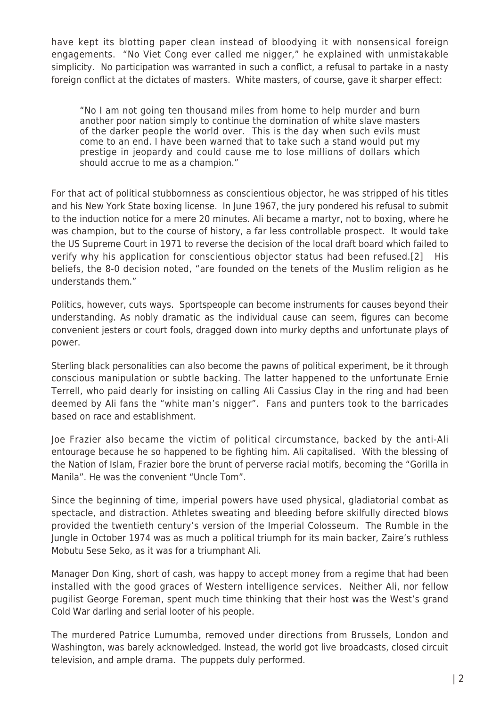have kept its blotting paper clean instead of bloodying it with nonsensical foreign engagements. "No Viet Cong ever called me nigger," he explained with unmistakable simplicity. No participation was warranted in such a conflict, a refusal to partake in a nasty foreign conflict at the dictates of masters. White masters, of course, gave it sharper effect:

"No I am not going ten thousand miles from home to help murder and burn another poor nation simply to continue the domination of white slave masters of the darker people the world over. This is the day when such evils must come to an end. I have been warned that to take such a stand would put my prestige in jeopardy and could cause me to lose millions of dollars which should accrue to me as a champion."

For that act of political stubbornness as conscientious objector, he was stripped of his titles and his New York State boxing license. In June 1967, the jury pondered his refusal to submit to the induction notice for a mere 20 minutes. Ali became a martyr, not to boxing, where he was champion, but to the course of history, a far less controllable prospect. It would take the US Supreme Court in 1971 to reverse the decision of the local draft board which failed to verify why his application for conscientious objector status had been refused.[2] His beliefs, the 8-0 decision noted, "are founded on the tenets of the Muslim religion as he understands them."

Politics, however, cuts ways. Sportspeople can become instruments for causes beyond their understanding. As nobly dramatic as the individual cause can seem, figures can become convenient jesters or court fools, dragged down into murky depths and unfortunate plays of power.

Sterling black personalities can also become the pawns of political experiment, be it through conscious manipulation or subtle backing. The latter happened to the unfortunate Ernie Terrell, who paid dearly for insisting on calling Ali Cassius Clay in the ring and had been deemed by Ali fans the "white man's nigger". Fans and punters took to the barricades based on race and establishment.

Joe Frazier also became the victim of political circumstance, backed by the anti-Ali entourage because he so happened to be fighting him. Ali capitalised. With the blessing of the Nation of Islam, Frazier bore the brunt of perverse racial motifs, becoming the "Gorilla in Manila". He was the convenient "Uncle Tom".

Since the beginning of time, imperial powers have used physical, gladiatorial combat as spectacle, and distraction. Athletes sweating and bleeding before skilfully directed blows provided the twentieth century's version of the Imperial Colosseum. The Rumble in the Jungle in October 1974 was as much a political triumph for its main backer, Zaire's ruthless Mobutu Sese Seko, as it was for a triumphant Ali.

Manager Don King, short of cash, was happy to accept money from a regime that had been installed with the good graces of Western intelligence services. Neither Ali, nor fellow pugilist George Foreman, spent much time thinking that their host was the West's grand Cold War darling and serial looter of his people.

The murdered Patrice Lumumba, removed under directions from Brussels, London and Washington, was barely acknowledged. Instead, the world got live broadcasts, closed circuit television, and ample drama. The puppets duly performed.